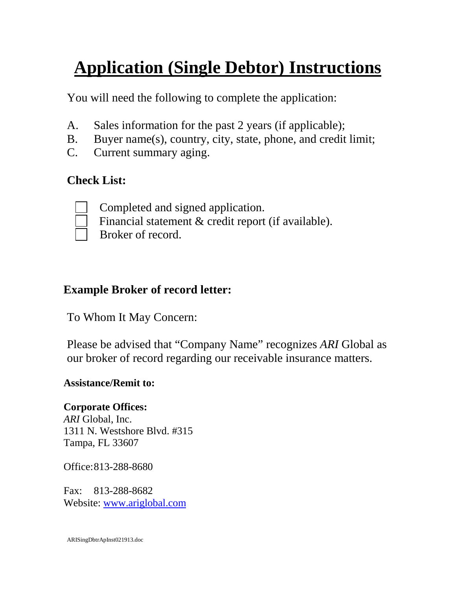# **Application (Single Debtor) Instructions**

You will need the following to complete the application:

- A. Sales information for the past 2 years (if applicable);
- B. Buyer name(s), country, city, state, phone, and credit limit;
- C. Current summary aging.

## **Check List:**



Completed and signed application.

Financial statement & credit report (if available).

Broker of record.

## **Example Broker of record letter:**

To Whom It May Concern:

Please be advised that "Company Name" recognizes *ARI* Global as our broker of record regarding our receivable insurance matters.

### **Assistance/Remit to:**

**Corporate Offices:** *ARI* Global, Inc. 1311 N. Westshore Blvd. #315 Tampa, FL 33607

Office:813-288-8680

Fax: 813-288-8682 Website: [www.ariglobal.com](http://www.ariglobal.com/)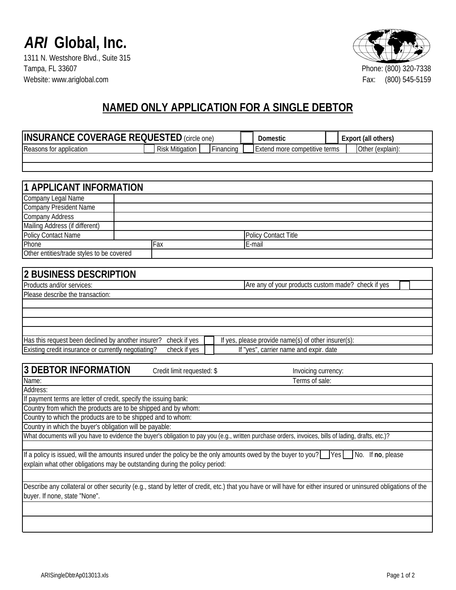

1311 N. Westshore Blvd., Suite 315<br>Tampa, FL 33607 Website: www.ariglobal.com Fax:



# **NAMED ONLY APPLICATION FOR A SINGLE DEBTOR**

| <b>INSURANCE COVERAGE REQUESTED</b> (circle one)                                                                                                                |                                     |  |                     | Domestic                                            |  | Export (all others) |
|-----------------------------------------------------------------------------------------------------------------------------------------------------------------|-------------------------------------|--|---------------------|-----------------------------------------------------|--|---------------------|
| Reasons for application                                                                                                                                         | <b>Risk Mitigation</b><br>Financing |  |                     | Extend more competitive terms                       |  | Other (explain):    |
|                                                                                                                                                                 |                                     |  |                     |                                                     |  |                     |
|                                                                                                                                                                 |                                     |  |                     |                                                     |  |                     |
|                                                                                                                                                                 |                                     |  |                     |                                                     |  |                     |
| <b>APPLICANT INFORMATION</b>                                                                                                                                    |                                     |  |                     |                                                     |  |                     |
| Company Legal Name                                                                                                                                              |                                     |  |                     |                                                     |  |                     |
| <b>Company President Name</b>                                                                                                                                   |                                     |  |                     |                                                     |  |                     |
| <b>Company Address</b>                                                                                                                                          |                                     |  |                     |                                                     |  |                     |
| Mailing Address (if different)                                                                                                                                  |                                     |  |                     |                                                     |  |                     |
| Policy Contact Name                                                                                                                                             |                                     |  |                     | <b>Policy Contact Title</b>                         |  |                     |
| Phone                                                                                                                                                           | Fax                                 |  |                     | E-mail                                              |  |                     |
| Other entities/trade styles to be covered                                                                                                                       |                                     |  |                     |                                                     |  |                     |
|                                                                                                                                                                 |                                     |  |                     |                                                     |  |                     |
| <b>2 BUSINESS DESCRIPTION</b>                                                                                                                                   |                                     |  |                     |                                                     |  |                     |
| Products and/or services:                                                                                                                                       |                                     |  |                     | Are any of your products custom made? check if yes  |  |                     |
| Please describe the transaction:                                                                                                                                |                                     |  |                     |                                                     |  |                     |
|                                                                                                                                                                 |                                     |  |                     |                                                     |  |                     |
|                                                                                                                                                                 |                                     |  |                     |                                                     |  |                     |
|                                                                                                                                                                 |                                     |  |                     |                                                     |  |                     |
|                                                                                                                                                                 |                                     |  |                     |                                                     |  |                     |
| Has this request been declined by another insurer?                                                                                                              | check if yes                        |  |                     | If yes, please provide name(s) of other insurer(s): |  |                     |
| Existing credit insurance or currently negotiating?                                                                                                             | check if yes                        |  |                     | If "yes", carrier name and expir. date              |  |                     |
|                                                                                                                                                                 |                                     |  |                     |                                                     |  |                     |
| <b>3 DEBTOR INFORMATION</b><br>Credit limit requested: \$                                                                                                       |                                     |  | Invoicing currency: |                                                     |  |                     |
| Name:                                                                                                                                                           |                                     |  |                     | Terms of sale:                                      |  |                     |
| Address:                                                                                                                                                        |                                     |  |                     |                                                     |  |                     |
| If payment terms are letter of credit, specify the issuing bank:                                                                                                |                                     |  |                     |                                                     |  |                     |
| Country from which the products are to be shipped and by whom:                                                                                                  |                                     |  |                     |                                                     |  |                     |
| Country to which the products are to be shipped and to whom:                                                                                                    |                                     |  |                     |                                                     |  |                     |
| Country in which the buyer's obligation will be payable:                                                                                                        |                                     |  |                     |                                                     |  |                     |
| What documents will you have to evidence the buyer's obligation to pay you (e.g., written purchase orders, invoices, bills of lading, drafts, etc.)?            |                                     |  |                     |                                                     |  |                     |
|                                                                                                                                                                 |                                     |  |                     |                                                     |  |                     |
| If a policy is issued, will the amounts insured under the policy be the only amounts owed by the buyer to you? Yes                                              |                                     |  |                     |                                                     |  | No. If no, please   |
| explain what other obligations may be outstanding during the policy period:                                                                                     |                                     |  |                     |                                                     |  |                     |
|                                                                                                                                                                 |                                     |  |                     |                                                     |  |                     |
| Describe any collateral or other security (e.g., stand by letter of credit, etc.) that you have or will have for either insured or uninsured obligations of the |                                     |  |                     |                                                     |  |                     |
| buyer. If none, state "None".                                                                                                                                   |                                     |  |                     |                                                     |  |                     |
|                                                                                                                                                                 |                                     |  |                     |                                                     |  |                     |
|                                                                                                                                                                 |                                     |  |                     |                                                     |  |                     |